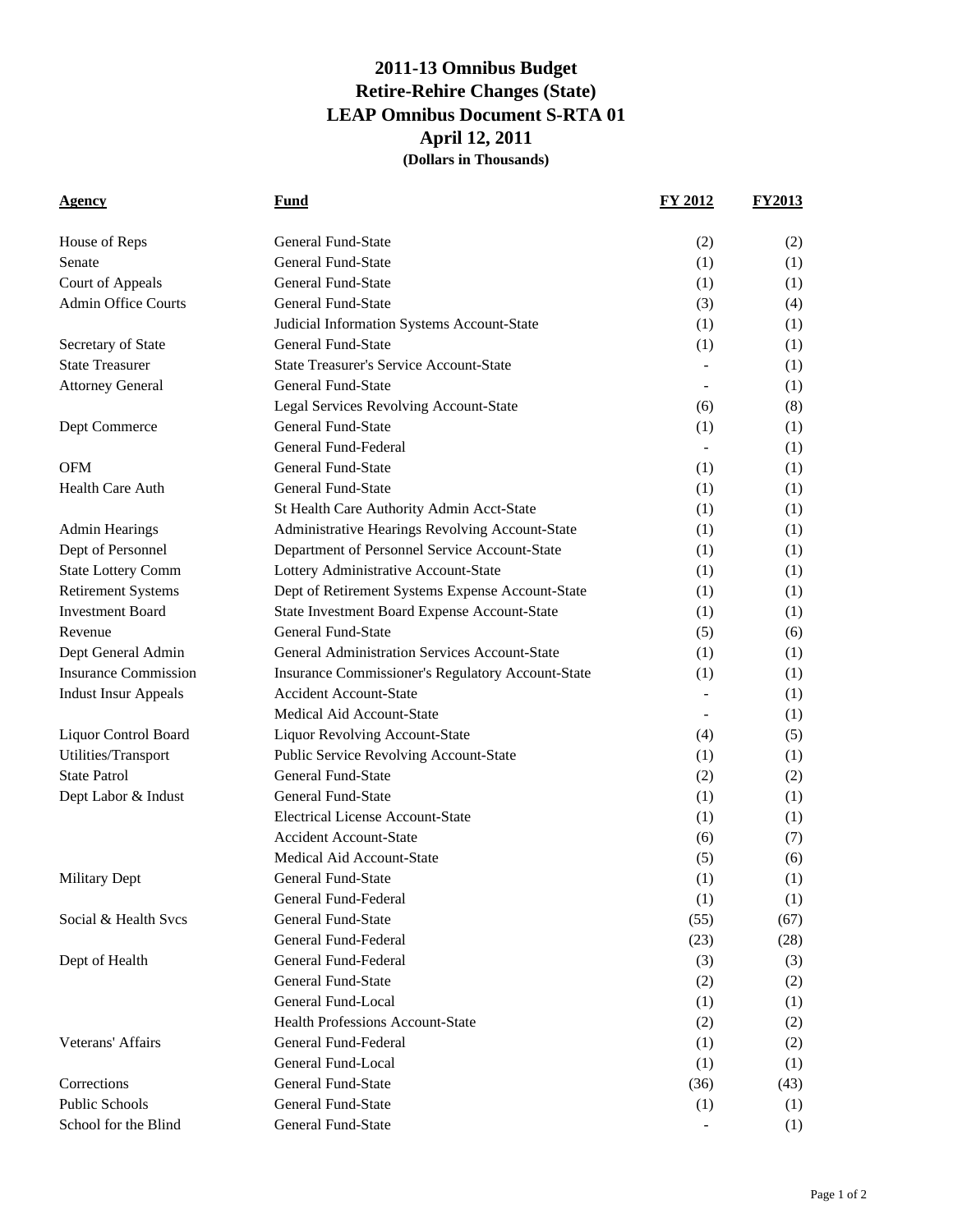## **2011-13 Omnibus Budget Retire-Rehire Changes (State) LEAP Omnibus Document S-RTA 01 April 12, 2011 (Dollars in Thousands)**

| Agency                      | Fund                                              | <b>FY 2012</b> | <b>FY2013</b> |
|-----------------------------|---------------------------------------------------|----------------|---------------|
| House of Reps               | General Fund-State                                | (2)            | (2)           |
| Senate                      | <b>General Fund-State</b>                         | (1)            | (1)           |
| Court of Appeals            | General Fund-State                                | (1)            | (1)           |
| <b>Admin Office Courts</b>  | <b>General Fund-State</b>                         | (3)            | (4)           |
|                             | Judicial Information Systems Account-State        | (1)            | (1)           |
| Secretary of State          | <b>General Fund-State</b>                         | (1)            | (1)           |
| <b>State Treasurer</b>      | <b>State Treasurer's Service Account-State</b>    |                | (1)           |
| <b>Attorney General</b>     | <b>General Fund-State</b>                         |                | (1)           |
|                             | Legal Services Revolving Account-State            | (6)            | (8)           |
| Dept Commerce               | General Fund-State                                | (1)            | (1)           |
|                             | General Fund-Federal                              |                | (1)           |
| OFM                         | <b>General Fund-State</b>                         | (1)            | (1)           |
| <b>Health Care Auth</b>     | <b>General Fund-State</b>                         | (1)            | (1)           |
|                             | St Health Care Authority Admin Acct-State         | (1)            | (1)           |
| <b>Admin Hearings</b>       | Administrative Hearings Revolving Account-State   | (1)            | (1)           |
| Dept of Personnel           | Department of Personnel Service Account-State     | (1)            | (1)           |
| <b>State Lottery Comm</b>   | Lottery Administrative Account-State              | (1)            | (1)           |
| <b>Retirement Systems</b>   | Dept of Retirement Systems Expense Account-State  | (1)            | (1)           |
| <b>Investment Board</b>     | State Investment Board Expense Account-State      | (1)            | (1)           |
| Revenue                     | <b>General Fund-State</b>                         | (5)            | (6)           |
| Dept General Admin          | General Administration Services Account-State     | (1)            | (1)           |
| <b>Insurance Commission</b> | Insurance Commissioner's Regulatory Account-State | (1)            | (1)           |
| <b>Indust Insur Appeals</b> | <b>Accident Account-State</b>                     |                | (1)           |
|                             | Medical Aid Account-State                         | $\blacksquare$ | (1)           |
| <b>Liquor Control Board</b> | <b>Liquor Revolving Account-State</b>             | (4)            | (5)           |
| Utilities/Transport         | Public Service Revolving Account-State            | (1)            | (1)           |
| <b>State Patrol</b>         | <b>General Fund-State</b>                         | (2)            | (2)           |
| Dept Labor & Indust         | <b>General Fund-State</b>                         | (1)            | (1)           |
|                             | <b>Electrical License Account-State</b>           | (1)            | (1)           |
|                             | <b>Accident Account-State</b>                     | (6)            | (7)           |
|                             | Medical Aid Account-State                         | (5)            | (6)           |
| <b>Military Dept</b>        | General Fund-State                                | (1)            | (1)           |
|                             | General Fund-Federal                              | (1)            | (1)           |
| Social & Health Svcs        | <b>General Fund-State</b>                         | (55)           | (67)          |
|                             | General Fund-Federal                              | (23)           | (28)          |
| Dept of Health              | General Fund-Federal                              | (3)            | (3)           |
|                             | General Fund-State                                | (2)            | (2)           |
|                             | General Fund-Local                                | (1)            | (1)           |
|                             | <b>Health Professions Account-State</b>           | (2)            | (2)           |
| Veterans' Affairs           | General Fund-Federal                              | (1)            | (2)           |
|                             | General Fund-Local                                | (1)            | (1)           |
| Corrections                 | <b>General Fund-State</b>                         | (36)           | (43)          |
| <b>Public Schools</b>       | General Fund-State                                | (1)            | (1)           |
| School for the Blind        | General Fund-State                                |                | (1)           |